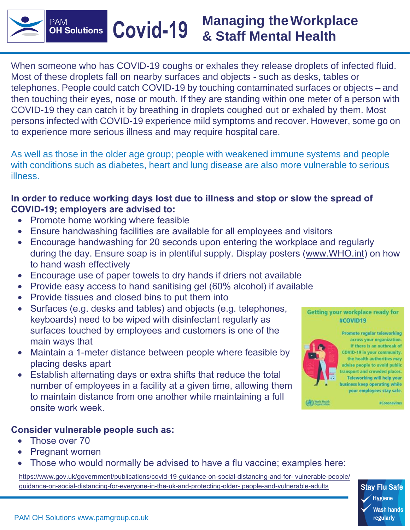**Managing theWorkplace Covid-19 & Staff Mental Health**

When someone who has COVID-19 coughs or exhales they release droplets of infected fluid. Most of these droplets fall on nearby surfaces and objects - such as desks, tables or telephones. People could catch COVID-19 by touching contaminated surfaces or objects – and then touching their eyes, nose or mouth. If they are standing within one meter of a person with COVID-19 they can catch it by breathing in droplets coughed out or exhaled by them. Most persons infected with COVID-19 experience mild symptoms and recover. However, some go on to experience more serious illness and may require hospital care.

As well as those in the older age group; people with weakened immune systems and people with conditions such as diabetes, heart and lung disease are also more vulnerable to serious illness.

### <span id="page-0-0"></span>**In order to reduce working days lost due to illness and stop or slow the spread of COVID-19; employers are advised to:**

• Promote home working where feasible

**PAM** 

**OH Solutions** 

- Ensure handwashing facilities are available for all employees and visitors
- Encourage handwashing for 20 seconds upon entering the workplace and regularly during the day. Ensure soap is in plentiful supply. Display posters ([www.WHO.int\)](www.WHO.int) on how to hand wash effectively
- Encourage use of paper towels to dry hands if driers not available
- Provide easy access to hand sanitising gel (60% alcohol) if available
- Provide tissues and closed bins to put them into
- Surfaces (e.g. desks and tables) and objects (e.g. telephones, keyboards) need to be wiped with disinfectant regularly as surfaces touched by employees and customers is one of the main ways that
- Maintain a 1-meter distance between people where feasible by placing desks apart
- Establish alternating days or extra shifts that reduce the total number of employees in a facility at a given time, allowing them to maintain distance from one another while maintaining a full onsite work week.

### **Consider vulnerable people such as:**

- [Those over 70](#page-0-0)
- [Pregnant women](#page-0-0)
- [Those who would normally](#page-0-0) be advised to have a flu vaccine; examples here:

https://www.gov.uk/government/publications/covid-19-guidance-on-social-distancing-and-for- vulnerable-people/ guidance-on-social-distancing-for-everyone-in-the-uk-and-protecting-older- people-and-vulnerable-adults







across your organization. If there is an outbreak of COVID-19 in your community, the health authorities may advise people to avoid public transport and crowded places. **Teleworking will help your** business keep operating while your employees stay safe.

Promote regular teleworking

**#Coronavirus**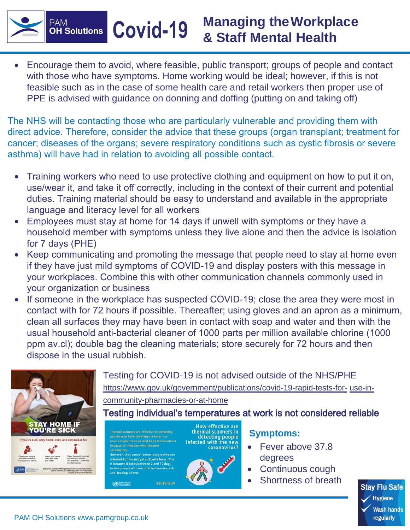# **Managing theWorkplace Covid & Staff Mental Health -19**

• Encourage them to avoid, where feasible, public transport; groups of people and contact with those who have symptoms. Home working would be ideal; however, if this is not feasible such as in the case of some health care and retail workers then proper use of PPE is advised with guidance on donning and doffing (putting on and taking off)

The NHS will be contacting those who are particularly vulnerable and providing them with direct advice. Therefore, consider the advice that these groups (organ transplant; treatment for cancer; diseases of the organs; severe respiratory conditions such as cystic fibrosis or severe asthma) will have had in relation to avoiding all possible contact.

- Training workers who need to use protective clothing and equipment on how to put it on, use/wear it, and take it off correctly, including in the context of their current and potential duties. Training material should be easy to understand and available in the appropriate language and literacy level for all workers
- Employees must stay at home for 14 days if unwell with symptoms or they have a household member with symptoms unless they live alone and then the advice is isolation for 7 days (PHE)
- Keep communicating and promoting the message that people need to stay at home even if they have just mild symptoms of COVID-19 and display posters with this message in your workplaces. Combine this with other communication channels commonly used in your organization or business
- If someone in the workplace has suspected COVID-19; close the area they were most in contact with for 72 hours if possible. Thereafter; using gloves and an apron as a minimum, clean all surfaces they may have been in contact with soap and water and then with the usual household anti-bacterial cleaner of 1000 parts per million available chlorine (1000 ppm av.cl); double bag the cleaning materials; store securely for 72 hours and then dispose in the us[ual rubbish.](http://www.gov.uk/government/publications/covid-19-rapid-tests-for-)



regularly

**PAM** 

**OH Solutions**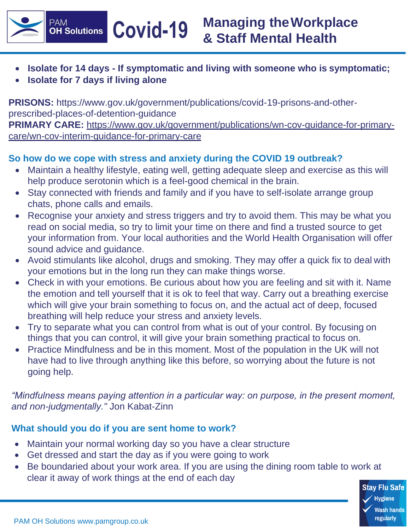**Managing theWorkplace Covid & Staff Mental Health -19**

- **Isolate for 14 days - If symptomatic and living with someone who is symptomatic;**
- **Isolate for 7 days if living alone**

**PAM** 

**OH** Solutions

**PRISONS:** [https://www.gov.uk/government/publications/covid-19-prisons-and-other](http://www.gov.uk/government/publications/covid-19-prisons-and-other-)prescribed-places-of-detention-guidance **PRIMARY CARE:** [https://www.gov.uk/government/publications/wn-cov-guidance-for-primary](http://www.gov.uk/government/publications/wn-cov-guidance-for-primary-)care/wn-cov-interim-guidance-for-primary-care

## **So how do we cope with stress and anxiety during the COVID 19 outbreak?**

- Maintain a healthy lifestyle, eating well, getting adequate sleep and exercise as this will help produce serotonin which is a feel-good chemical in the brain.
- Stay connected with friends and family and if you have to self-isolate arrange group chats, phone calls and emails.
- Recognise your anxiety and stress triggers and try to avoid them. This may be what you read on social media, so try to limit your time on there and find a trusted source to get your information from. Your local authorities and the World Health Organisation will offer sound advice and guidance.
- Avoid stimulants like alcohol, drugs and smoking. They may offer a quick fix to deal with your emotions but in the long run they can make things worse.
- Check in with your emotions. Be curious about how you are feeling and sit with it. Name the emotion and tell yourself that it is ok to feel that way. Carry out a breathing exercise which will give your brain something to focus on, and the actual act of deep, focused breathing will help reduce your stress and anxiety levels.
- Try to separate what you can control from what is out of your control. By focusing on things that you can control, it will give your brain something practical to focus on.
- Practice Mindfulness and be in this moment. Most of the population in the UK will not have had to live through anything like this before, so worrying about the future is not going help.

*"Mindfulness means paying attention in a particular way: on purpose, in the present moment, and non-judgmentally."* Jon Kabat-Zinn

## **What should you do if you are sent home to work?**

- Maintain your normal working day so you have a clear structure
- Get dressed and start the day as if you were going to work
- Be boundaried about your work area. If you are using the dining room table to work at clear it away of work things at the end of each day

**Stay Flu Safe** ∕ Hvgiene **Wash hands** regularly